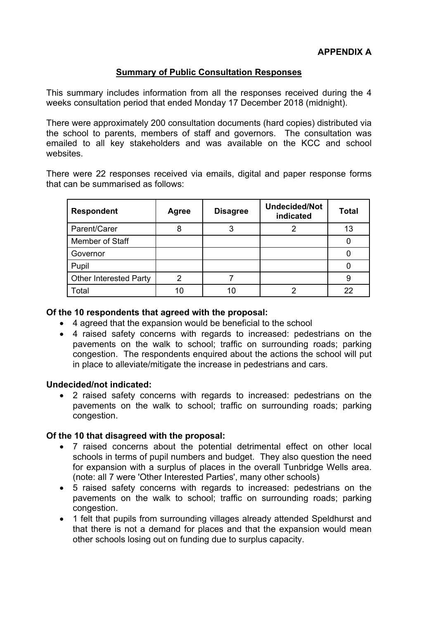# **Summary of Public Consultation Responses**

This summary includes information from all the responses received during the 4 weeks consultation period that ended Monday 17 December 2018 (midnight).

There were approximately 200 consultation documents (hard copies) distributed via the school to parents, members of staff and governors. The consultation was emailed to all key stakeholders and was available on the KCC and school websites.

There were 22 responses received via emails, digital and paper response forms that can be summarised as follows:

| <b>Respondent</b>             | <b>Agree</b> | <b>Disagree</b> | <b>Undecided/Not</b><br>indicated | <b>Total</b> |
|-------------------------------|--------------|-----------------|-----------------------------------|--------------|
| Parent/Carer                  |              |                 |                                   | 13           |
| Member of Staff               |              |                 |                                   |              |
| Governor                      |              |                 |                                   |              |
| Pupil                         |              |                 |                                   |              |
| <b>Other Interested Party</b> |              |                 |                                   |              |
| Total                         | 10           | 10              |                                   | 22           |

### **Of the 10 respondents that agreed with the proposal:**

- 4 agreed that the expansion would be beneficial to the school
- 4 raised safety concerns with regards to increased: pedestrians on the pavements on the walk to school; traffic on surrounding roads; parking congestion. The respondents enquired about the actions the school will put in place to alleviate/mitigate the increase in pedestrians and cars.

# **Undecided/not indicated:**

 2 raised safety concerns with regards to increased: pedestrians on the pavements on the walk to school; traffic on surrounding roads; parking congestion.

# **Of the 10 that disagreed with the proposal:**

- 7 raised concerns about the potential detrimental effect on other local schools in terms of pupil numbers and budget. They also question the need for expansion with a surplus of places in the overall Tunbridge Wells area. (note: all 7 were 'Other Interested Parties', many other schools)
- 5 raised safety concerns with regards to increased: pedestrians on the pavements on the walk to school; traffic on surrounding roads; parking congestion.
- 1 felt that pupils from surrounding villages already attended Speldhurst and that there is not a demand for places and that the expansion would mean other schools losing out on funding due to surplus capacity.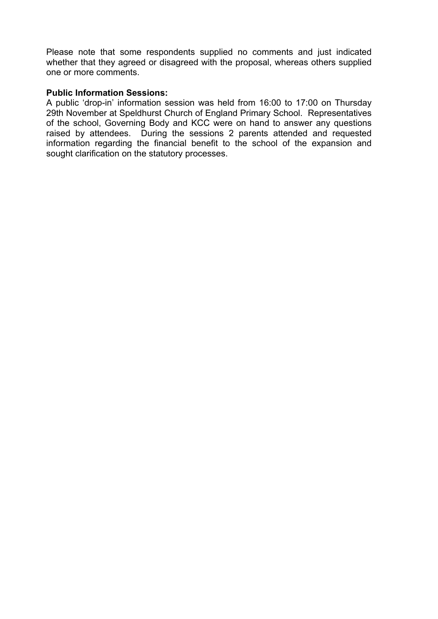Please note that some respondents supplied no comments and just indicated whether that they agreed or disagreed with the proposal, whereas others supplied one or more comments.

### **Public Information Sessions:**

A public 'drop-in' information session was held from 16:00 to 17:00 on Thursday 29th November at Speldhurst Church of England Primary School. Representatives of the school, Governing Body and KCC were on hand to answer any questions raised by attendees. During the sessions 2 parents attended and requested information regarding the financial benefit to the school of the expansion and sought clarification on the statutory processes.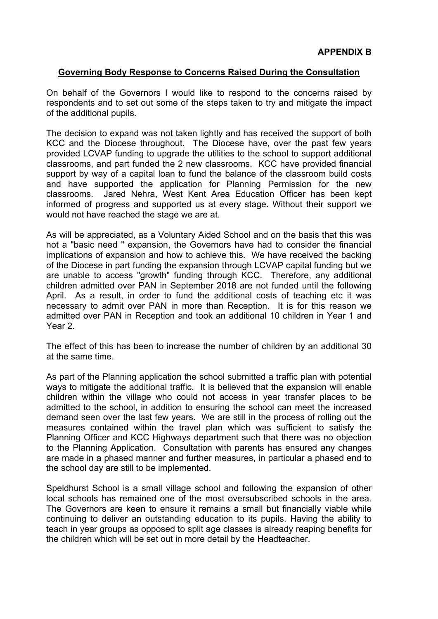### **Governing Body Response to Concerns Raised During the Consultation**

On behalf of the Governors I would like to respond to the concerns raised by respondents and to set out some of the steps taken to try and mitigate the impact of the additional pupils.

The decision to expand was not taken lightly and has received the support of both KCC and the Diocese throughout. The Diocese have, over the past few years provided LCVAP funding to upgrade the utilities to the school to support additional classrooms, and part funded the 2 new classrooms. KCC have provided financial support by way of a capital loan to fund the balance of the classroom build costs and have supported the application for Planning Permission for the new classrooms. Jared Nehra, West Kent Area Education Officer has been kept informed of progress and supported us at every stage. Without their support we would not have reached the stage we are at.

As will be appreciated, as a Voluntary Aided School and on the basis that this was not a "basic need " expansion, the Governors have had to consider the financial implications of expansion and how to achieve this. We have received the backing of the Diocese in part funding the expansion through LCVAP capital funding but we are unable to access "growth" funding through KCC. Therefore, any additional children admitted over PAN in September 2018 are not funded until the following April. As a result, in order to fund the additional costs of teaching etc it was necessary to admit over PAN in more than Reception. It is for this reason we admitted over PAN in Reception and took an additional 10 children in Year 1 and Year 2.

The effect of this has been to increase the number of children by an additional 30 at the same time.

As part of the Planning application the school submitted a traffic plan with potential ways to mitigate the additional traffic. It is believed that the expansion will enable children within the village who could not access in year transfer places to be admitted to the school, in addition to ensuring the school can meet the increased demand seen over the last few years. We are still in the process of rolling out the measures contained within the travel plan which was sufficient to satisfy the Planning Officer and KCC Highways department such that there was no objection to the Planning Application. Consultation with parents has ensured any changes are made in a phased manner and further measures, in particular a phased end to the school day are still to be implemented.

Speldhurst School is a small village school and following the expansion of other local schools has remained one of the most oversubscribed schools in the area. The Governors are keen to ensure it remains a small but financially viable while continuing to deliver an outstanding education to its pupils. Having the ability to teach in year groups as opposed to split age classes is already reaping benefits for the children which will be set out in more detail by the Headteacher.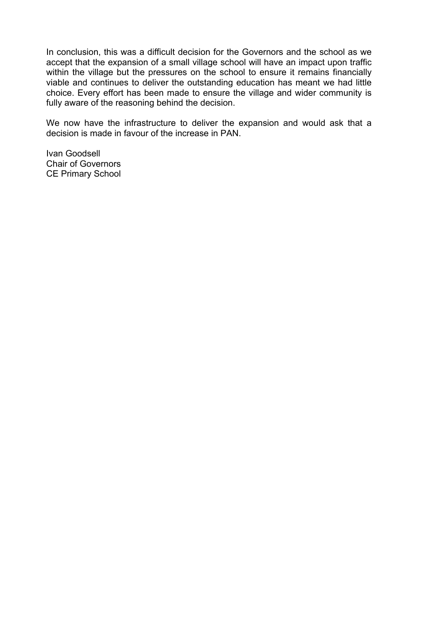In conclusion, this was a difficult decision for the Governors and the school as we accept that the expansion of a small village school will have an impact upon traffic within the village but the pressures on the school to ensure it remains financially viable and continues to deliver the outstanding education has meant we had little choice. Every effort has been made to ensure the village and wider community is fully aware of the reasoning behind the decision.

We now have the infrastructure to deliver the expansion and would ask that a decision is made in favour of the increase in PAN.

Ivan Goodsell Chair of Governors CE Primary School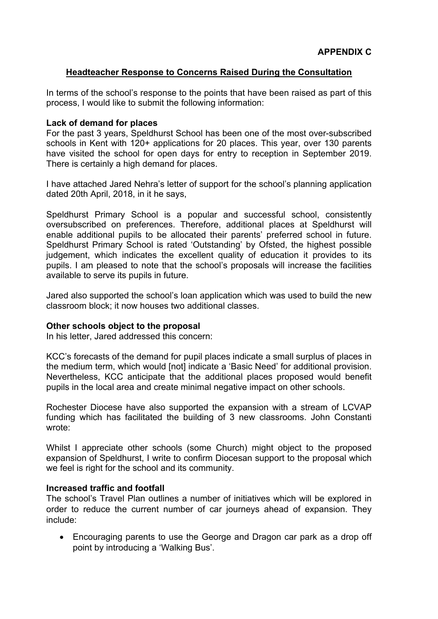# **Headteacher Response to Concerns Raised During the Consultation**

In terms of the school's response to the points that have been raised as part of this process, I would like to submit the following information:

### **Lack of demand for places**

For the past 3 years, Speldhurst School has been one of the most over-subscribed schools in Kent with 120+ applications for 20 places. This year, over 130 parents have visited the school for open days for entry to reception in September 2019. There is certainly a high demand for places.

I have attached Jared Nehra's letter of support for the school's planning application dated 20th April, 2018, in it he says,

Speldhurst Primary School is a popular and successful school, consistently oversubscribed on preferences. Therefore, additional places at Speldhurst will enable additional pupils to be allocated their parents' preferred school in future. Speldhurst Primary School is rated 'Outstanding' by Ofsted, the highest possible judgement, which indicates the excellent quality of education it provides to its pupils. I am pleased to note that the school's proposals will increase the facilities available to serve its pupils in future.

Jared also supported the school's loan application which was used to build the new classroom block; it now houses two additional classes.

#### **Other schools object to the proposal**

In his letter, Jared addressed this concern:

KCC's forecasts of the demand for pupil places indicate a small surplus of places in the medium term, which would [not] indicate a 'Basic Need' for additional provision. Nevertheless, KCC anticipate that the additional places proposed would benefit pupils in the local area and create minimal negative impact on other schools.

Rochester Diocese have also supported the expansion with a stream of LCVAP funding which has facilitated the building of 3 new classrooms. John Constanti wrote:

Whilst I appreciate other schools (some Church) might object to the proposed expansion of Speldhurst, I write to confirm Diocesan support to the proposal which we feel is right for the school and its community.

#### **Increased traffic and footfall**

The school's Travel Plan outlines a number of initiatives which will be explored in order to reduce the current number of car journeys ahead of expansion. They include:

 Encouraging parents to use the George and Dragon car park as a drop off point by introducing a 'Walking Bus'.